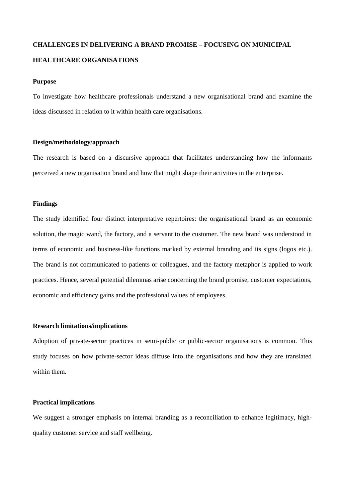# **CHALLENGES IN DELIVERING A BRAND PROMISE – FOCUSING ON MUNICIPAL HEALTHCARE ORGANISATIONS**

#### **Purpose**

To investigate how healthcare professionals understand a new organisational brand and examine the ideas discussed in relation to it within health care organisations.

# **Design/methodology/approach**

The research is based on a discursive approach that facilitates understanding how the informants perceived a new organisation brand and how that might shape their activities in the enterprise.

#### **Findings**

The study identified four distinct interpretative repertoires: the organisational brand as an economic solution, the magic wand, the factory, and a servant to the customer. The new brand was understood in terms of economic and business-like functions marked by external branding and its signs (logos etc.). The brand is not communicated to patients or colleagues, and the factory metaphor is applied to work practices. Hence, several potential dilemmas arise concerning the brand promise, customer expectations, economic and efficiency gains and the professional values of employees.

## **Research limitations/implications**

Adoption of private-sector practices in semi-public or public-sector organisations is common. This study focuses on how private-sector ideas diffuse into the organisations and how they are translated within them.

## **Practical implications**

We suggest a stronger emphasis on internal branding as a reconciliation to enhance legitimacy, highquality customer service and staff wellbeing.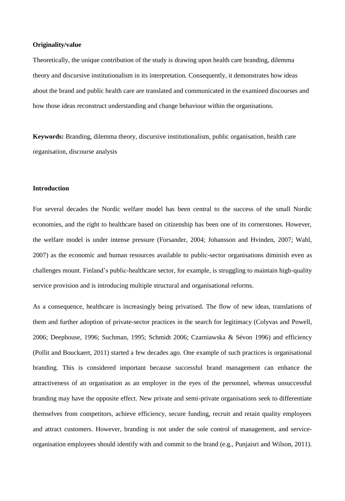## **Originality/value**

Theoretically, the unique contribution of the study is drawing upon health care branding, dilemma theory and discursive institutionalism in its interpretation. Consequently, it demonstrates how ideas about the brand and public health care are translated and communicated in the examined discourses and how those ideas reconstruct understanding and change behaviour within the organisations.

**Keywords:** Branding, dilemma theory, discursive institutionalism, public organisation, health care organisation, discourse analysis

# **Introduction**

For several decades the Nordic welfare model has been central to the success of the small Nordic economies, and the right to healthcare based on citizenship has been one of its cornerstones. However, the welfare model is under intense pressure (Forsander, 2004; Johansson and Hvinden, 2007; Wahl, 2007) as the economic and human resources available to public-sector organisations diminish even as challenges mount. Finland's public-healthcare sector, for example, is struggling to maintain high-quality service provision and is introducing multiple structural and organisational reforms.

As a consequence, healthcare is increasingly being privatised. The flow of new ideas, translations of them and further adoption of private-sector practices in the search for legitimacy (Colyvas and Powell, 2006; Deephouse, 1996; Suchman, 1995; Schmidt 2006; Czarniawska & Sévon 1996) and efficiency (Pollit and Bouckaert, 2011) started a few decades ago. One example of such practices is organisational branding. This is considered important because successful brand management can enhance the attractiveness of an organisation as an employer in the eyes of the personnel, whereas unsuccessful branding may have the opposite effect. New private and semi-private organisations seek to differentiate themselves from competitors, achieve efficiency, secure funding, recruit and retain quality employees and attract customers. However, branding is not under the sole control of management, and serviceorganisation employees should identify with and commit to the brand (e.g., Punjaisri and Wilson, 2011).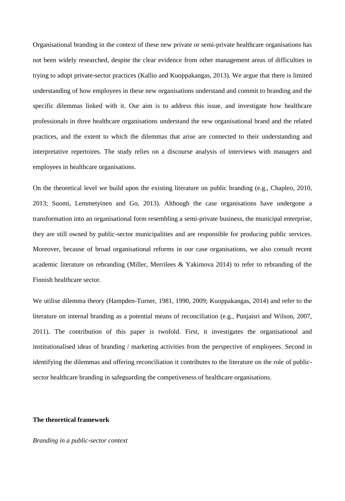Organisational branding in the context of these new private or semi-private healthcare organisations has not been widely researched, despite the clear evidence from other management areas of difficulties in trying to adopt private-sector practices (Kallio and Kuoppakangas, 2013). We argue that there is limited understanding of how employees in these new organisations understand and commit to branding and the specific dilemmas linked with it. Our aim is to address this issue, and investigate how healthcare professionals in three healthcare organisations understand the new organisational brand and the related practices, and the extent to which the dilemmas that arise are connected to their understanding and interpretative repertoires. The study relies on a discourse analysis of interviews with managers and employees in healthcare organisations.

On the theoretical level we build upon the existing literature on public branding (e.g., Chapleo, 2010, 2013; Suomi, Lemmetyinen and Go, 2013). Although the case organisations have undergone a transformation into an organisational form resembling a semi-private business, the municipal enterprise, they are still owned by public-sector municipalities and are responsible for producing public services. Moreover, because of broad organisational reforms in our case organisations, we also consult recent academic literature on rebranding (Miller, Merrilees & Yakimova 2014) to refer to rebranding of the Finnish healthcare sector.

We utilise dilemma theory (Hampden-Turner, 1981, 1990, 2009; Kuoppakangas, 2014) and refer to the literature on internal branding as a potential means of reconciliation (e.g., Punjaisri and Wilson, 2007, 2011). The contribution of this paper is twofold. First, it investigates the organisational and institutionalised ideas of branding / marketing activities from the perspective of employees. Second in identifying the dilemmas and offering reconciliation it contributes to the literature on the role of publicsector healthcare branding in safeguarding the competiveness of healthcare organisations.

## **The theoretical framework**

*Branding in a public-sector context*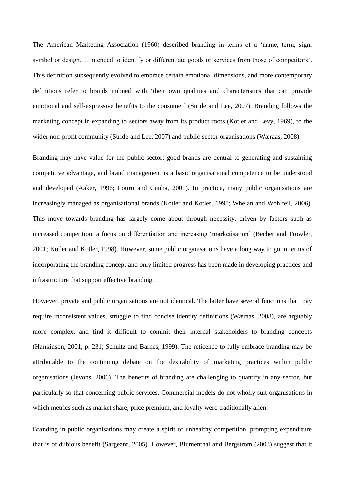The American Marketing Association (1960) described branding in terms of a 'name, term, sign, symbol or design…. intended to identify or differentiate goods or services from those of competitors'. This definition subsequently evolved to embrace certain emotional dimensions, and more contemporary definitions refer to brands imbued with 'their own qualities and characteristics that can provide emotional and self-expressive benefits to the consumer' (Stride and Lee, 2007). Branding follows the marketing concept in expanding to sectors away from its product roots (Kotler and Levy, 1969), to the wider non-profit community (Stride and Lee, 2007) and public-sector organisations (Wæraas, 2008).

Branding may have value for the public sector: good brands are central to generating and sustaining competitive advantage, and brand management is a basic organisational competence to be understood and developed (Aaker, 1996; Louro and Cunha, 2001). In practice, many public organisations are increasingly managed as organisational brands (Kotler and Kotler, 1998; Whelan and Wohlfeil, 2006). This move towards branding has largely come about through necessity, driven by factors such as increased competition, a focus on differentiation and increasing 'marketisation' (Becher and Trowler, 2001; Kotler and Kotler, 1998). However, some public organisations have a long way to go in terms of incorporating the branding concept and only limited progress has been made in developing practices and infrastructure that support effective branding.

However, private and public organisations are not identical. The latter have several functions that may require inconsistent values, struggle to find concise identity definitions (Wæraas, 2008), are arguably more complex, and find it difficult to commit their internal stakeholders to branding concepts (Hankinson, 2001, p. 231; Schultz and Barnes, 1999). The reticence to fully embrace branding may be attributable to the continuing debate on the desirability of marketing practices within public organisations (Jevons, 2006). The benefits of branding are challenging to quantify in any sector, but particularly so that concerning public services. Commercial models do not wholly suit organisations in which metrics such as market share, price premium, and loyalty were traditionally alien.

Branding in public organisations may create a spirit of unhealthy competition, prompting expenditure that is of dubious benefit (Sargeant, 2005). However, Blumenthal and Bergstrom (2003) suggest that it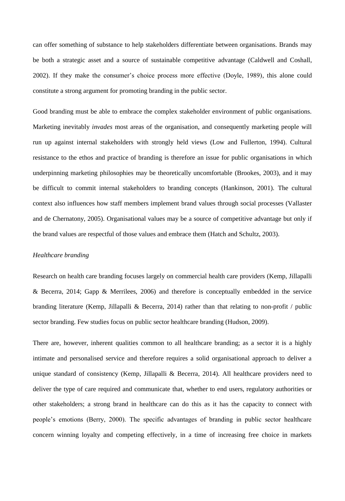can offer something of substance to help stakeholders differentiate between organisations. Brands may be both a strategic asset and a source of sustainable competitive advantage (Caldwell and Coshall, 2002). If they make the consumer's choice process more effective (Doyle, 1989), this alone could constitute a strong argument for promoting branding in the public sector.

Good branding must be able to embrace the complex stakeholder environment of public organisations. Marketing inevitably *invades* most areas of the organisation, and consequently marketing people will run up against internal stakeholders with strongly held views (Low and Fullerton, 1994). Cultural resistance to the ethos and practice of branding is therefore an issue for public organisations in which underpinning marketing philosophies may be theoretically uncomfortable (Brookes, 2003), and it may be difficult to commit internal stakeholders to branding concepts (Hankinson, 2001). The cultural context also influences how staff members implement brand values through social processes (Vallaster and de Chernatony, 2005). Organisational values may be a source of competitive advantage but only if the brand values are respectful of those values and embrace them (Hatch and Schultz, 2003).

#### *Healthcare branding*

Research on health care branding focuses largely on commercial health care providers (Kemp, Jillapalli & Becerra, 2014; Gapp & Merrilees, 2006) and therefore is conceptually embedded in the service branding literature (Kemp, Jillapalli & Becerra, 2014) rather than that relating to non-profit / public sector branding. Few studies focus on public sector healthcare branding (Hudson, 2009).

There are, however, inherent qualities common to all healthcare branding; as a sector it is a highly intimate and personalised service and therefore requires a solid organisational approach to deliver a unique standard of consistency (Kemp, Jillapalli & Becerra, 2014). All healthcare providers need to deliver the type of care required and communicate that, whether to end users, regulatory authorities or other stakeholders; a strong brand in healthcare can do this as it has the capacity to connect with people's emotions (Berry, 2000). The specific advantages of branding in public sector healthcare concern winning loyalty and competing effectively, in a time of increasing free choice in markets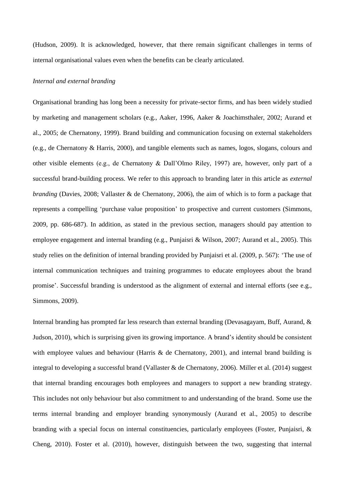(Hudson, 2009). It is acknowledged, however, that there remain significant challenges in terms of internal organisational values even when the benefits can be clearly articulated.

#### *Internal and external branding*

Organisational branding has long been a necessity for private-sector firms, and has been widely studied by marketing and management scholars (e.g., Aaker, 1996, Aaker & Joachimsthaler, 2002; Aurand et al., 2005; de Chernatony, 1999). Brand building and communication focusing on external stakeholders (e.g., de Chernatony & Harris, 2000), and tangible elements such as names, logos, slogans, colours and other visible elements (e.g., de Chernatony & Dall'Olmo Riley, 1997) are, however, only part of a successful brand-building process. We refer to this approach to branding later in this article as *external branding* (Davies, 2008; Vallaster & de Chernatony, 2006), the aim of which is to form a package that represents a compelling 'purchase value proposition' to prospective and current customers (Simmons, 2009, pp. 686-687). In addition, as stated in the previous section, managers should pay attention to employee engagement and internal branding (e.g., Punjaisri & Wilson, 2007; Aurand et al., 2005). This study relies on the definition of internal branding provided by Punjaisri et al. (2009, p. 567): 'The use of internal communication techniques and training programmes to educate employees about the brand promise'. Successful branding is understood as the alignment of external and internal efforts (see e.g., Simmons, 2009).

Internal branding has prompted far less research than external branding (Devasagayam, Buff, Aurand, & Judson, 2010), which is surprising given its growing importance. A brand's identity should be consistent with employee values and behaviour (Harris  $\&$  de Chernatony, 2001), and internal brand building is integral to developing a successful brand (Vallaster & de Chernatony, 2006). Miller et al. (2014) suggest that internal branding encourages both employees and managers to support a new branding strategy. This includes not only behaviour but also commitment to and understanding of the brand. Some use the terms internal branding and employer branding synonymously (Aurand et al., 2005) to describe branding with a special focus on internal constituencies, particularly employees (Foster, Punjaisri, & Cheng, 2010). Foster et al. (2010), however, distinguish between the two, suggesting that internal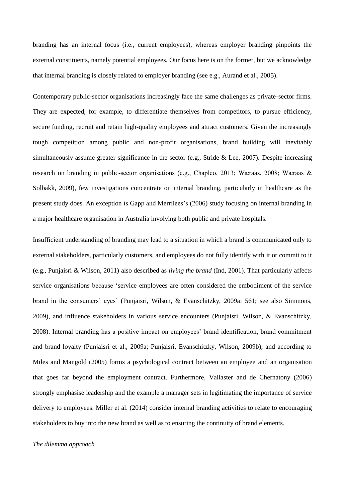branding has an internal focus (i.e., current employees), whereas employer branding pinpoints the external constituents, namely potential employees. Our focus here is on the former, but we acknowledge that internal branding is closely related to employer branding (see e.g., Aurand et al., 2005).

Contemporary public-sector organisations increasingly face the same challenges as private-sector firms. They are expected, for example, to differentiate themselves from competitors, to pursue efficiency, secure funding, recruit and retain high-quality employees and attract customers. Given the increasingly tough competition among public and non-profit organisations, brand building will inevitably simultaneously assume greater significance in the sector (e.g., Stride & Lee, 2007). Despite increasing research on branding in public-sector organisations (e.g., Chapleo, 2013; Wӕraas, 2008; Wӕraas & Solbakk, 2009), few investigations concentrate on internal branding, particularly in healthcare as the present study does. An exception is Gapp and Merrilees's (2006) study focusing on internal branding in a major healthcare organisation in Australia involving both public and private hospitals.

Insufficient understanding of branding may lead to a situation in which a brand is communicated only to external stakeholders, particularly customers, and employees do not fully identify with it or commit to it (e.g., Punjaisri & Wilson, 2011) also described as *living the brand* (Ind, 2001). That particularly affects service organisations because 'service employees are often considered the embodiment of the service brand in the consumers' eyes' (Punjaisri, Wilson, & Evanschitzky, 2009a: 561; see also Simmons, 2009), and influence stakeholders in various service encounters (Punjaisri, Wilson, & Evanschitzky, 2008). Internal branding has a positive impact on employees' brand identification, brand commitment and brand loyalty (Punjaisri et al., 2009a; Punjaisri, Evanschitzky, Wilson, 2009b), and according to Miles and Mangold (2005) forms a psychological contract between an employee and an organisation that goes far beyond the employment contract. Furthermore, Vallaster and de Chernatony (2006) strongly emphasise leadership and the example a manager sets in legitimating the importance of service delivery to employees. Miller et al. (2014) consider internal branding activities to relate to encouraging stakeholders to buy into the new brand as well as to ensuring the continuity of brand elements.

#### *The dilemma approach*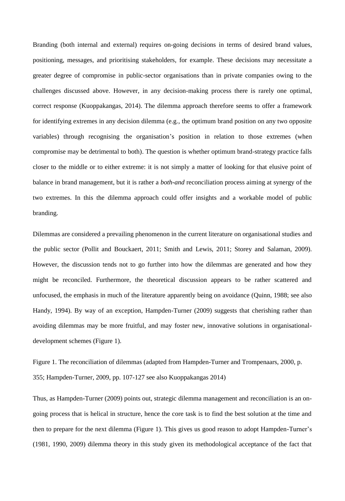Branding (both internal and external) requires on-going decisions in terms of desired brand values, positioning, messages, and prioritising stakeholders, for example. These decisions may necessitate a greater degree of compromise in public-sector organisations than in private companies owing to the challenges discussed above. However, in any decision-making process there is rarely one optimal, correct response (Kuoppakangas, 2014). The dilemma approach therefore seems to offer a framework for identifying extremes in any decision dilemma (e.g., the optimum brand position on any two opposite variables) through recognising the organisation's position in relation to those extremes (when compromise may be detrimental to both). The question is whether optimum brand-strategy practice falls closer to the middle or to either extreme: it is not simply a matter of looking for that elusive point of balance in brand management, but it is rather a *both-and* reconciliation process aiming at synergy of the two extremes. In this the dilemma approach could offer insights and a workable model of public branding.

Dilemmas are considered a prevailing phenomenon in the current literature on organisational studies and the public sector (Pollit and Bouckaert, 2011; Smith and Lewis, 2011; Storey and Salaman, 2009). However, the discussion tends not to go further into how the dilemmas are generated and how they might be reconciled. Furthermore, the theoretical discussion appears to be rather scattered and unfocused, the emphasis in much of the literature apparently being on avoidance (Quinn, 1988; see also Handy, 1994). By way of an exception, Hampden-Turner (2009) suggests that cherishing rather than avoiding dilemmas may be more fruitful, and may foster new, innovative solutions in organisationaldevelopment schemes (Figure 1).

Figure 1. The reconciliation of dilemmas (adapted from Hampden-Turner and Trompenaars, 2000, p. 355; Hampden-Turner, 2009, pp. 107-127 see also Kuoppakangas 2014)

Thus, as Hampden-Turner (2009) points out, strategic dilemma management and reconciliation is an ongoing process that is helical in structure, hence the core task is to find the best solution at the time and then to prepare for the next dilemma (Figure 1). This gives us good reason to adopt Hampden-Turner's (1981, 1990, 2009) dilemma theory in this study given its methodological acceptance of the fact that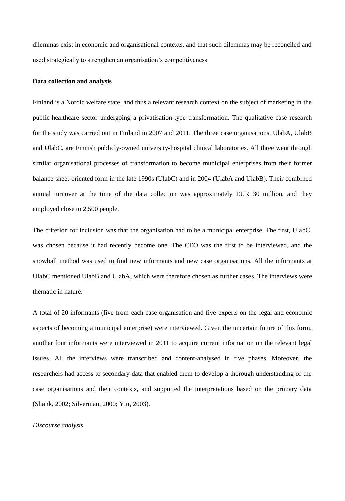dilemmas exist in economic and organisational contexts, and that such dilemmas may be reconciled and used strategically to strengthen an organisation's competitiveness.

#### **Data collection and analysis**

Finland is a Nordic welfare state, and thus a relevant research context on the subject of marketing in the public-healthcare sector undergoing a privatisation-type transformation. The qualitative case research for the study was carried out in Finland in 2007 and 2011. The three case organisations, UlabA, UlabB and UlabC, are Finnish publicly-owned university-hospital clinical laboratories. All three went through similar organisational processes of transformation to become municipal enterprises from their former balance-sheet-oriented form in the late 1990s (UlabC) and in 2004 (UlabA and UlabB). Their combined annual turnover at the time of the data collection was approximately EUR 30 million, and they employed close to 2,500 people.

The criterion for inclusion was that the organisation had to be a municipal enterprise. The first, UlabC, was chosen because it had recently become one. The CEO was the first to be interviewed, and the snowball method was used to find new informants and new case organisations. All the informants at UlabC mentioned UlabB and UlabA, which were therefore chosen as further cases. The interviews were thematic in nature.

A total of 20 informants (five from each case organisation and five experts on the legal and economic aspects of becoming a municipal enterprise) were interviewed. Given the uncertain future of this form, another four informants were interviewed in 2011 to acquire current information on the relevant legal issues. All the interviews were transcribed and content-analysed in five phases. Moreover, the researchers had access to secondary data that enabled them to develop a thorough understanding of the case organisations and their contexts, and supported the interpretations based on the primary data (Shank, 2002; Silverman, 2000; Yin, 2003).

#### *Discourse analysis*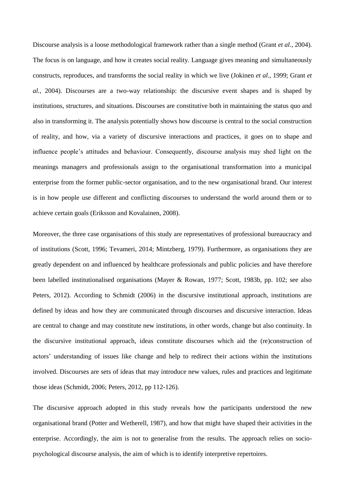Discourse analysis is a loose methodological framework rather than a single method (Grant *et al.*, 2004). The focus is on language, and how it creates social reality. Language gives meaning and simultaneously constructs, reproduces, and transforms the social reality in which we live (Jokinen *et al.*, 1999; Grant *et al.*, 2004). Discourses are a two-way relationship: the discursive event shapes and is shaped by institutions, structures, and situations. Discourses are constitutive both in maintaining the status quo and also in transforming it. The analysis potentially shows how discourse is central to the social construction of reality, and how, via a variety of discursive interactions and practices, it goes on to shape and influence people's attitudes and behaviour. Consequently, discourse analysis may shed light on the meanings managers and professionals assign to the organisational transformation into a municipal enterprise from the former public-sector organisation, and to the new organisational brand. Our interest is in how people use different and conflicting discourses to understand the world around them or to achieve certain goals (Eriksson and Kovalainen, 2008).

Moreover, the three case organisations of this study are representatives of professional bureaucracy and of institutions (Scott, 1996; Tevameri, 2014; Mintzberg, 1979). Furthermore, as organisations they are greatly dependent on and influenced by healthcare professionals and public policies and have therefore been labelled institutionalised organisations (Mayer & Rowan, 1977; Scott, 1983b, pp. 102; see also Peters, 2012). According to Schmidt (2006) in the discursive institutional approach, institutions are defined by ideas and how they are communicated through discourses and discursive interaction. Ideas are central to change and may constitute new institutions, in other words, change but also continuity. In the discursive institutional approach, ideas constitute discourses which aid the (re)construction of actors' understanding of issues like change and help to redirect their actions within the institutions involved. Discourses are sets of ideas that may introduce new values, rules and practices and legitimate those ideas (Schmidt, 2006; Peters, 2012, pp 112-126).

The discursive approach adopted in this study reveals how the participants understood the new organisational brand (Potter and Wetherell, 1987), and how that might have shaped their activities in the enterprise. Accordingly, the aim is not to generalise from the results. The approach relies on sociopsychological discourse analysis, the aim of which is to identify interpretive repertoires.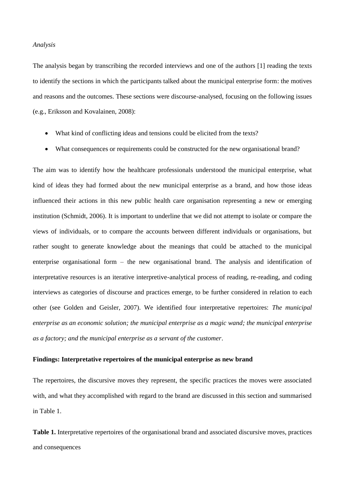## *Analysis*

The analysis began by transcribing the recorded interviews and one of the authors [1] reading the texts to identify the sections in which the participants talked about the municipal enterprise form: the motives and reasons and the outcomes. These sections were discourse-analysed, focusing on the following issues (e.g., Eriksson and Kovalainen, 2008):

- What kind of conflicting ideas and tensions could be elicited from the texts?
- What consequences or requirements could be constructed for the new organisational brand?

The aim was to identify how the healthcare professionals understood the municipal enterprise, what kind of ideas they had formed about the new municipal enterprise as a brand, and how those ideas influenced their actions in this new public health care organisation representing a new or emerging institution (Schmidt, 2006). It is important to underline that we did not attempt to isolate or compare the views of individuals, or to compare the accounts between different individuals or organisations, but rather sought to generate knowledge about the meanings that could be attached to the municipal enterprise organisational form – the new organisational brand. The analysis and identification of interpretative resources is an iterative interpretive-analytical process of reading, re-reading, and coding interviews as categories of discourse and practices emerge, to be further considered in relation to each other (see Golden and Geisler, 2007). We identified four interpretative repertoires: *The municipal enterprise as an economic solution; the municipal enterprise as a magic wand; the municipal enterprise as a factory; and the municipal enterprise as a servant of the customer*.

## **Findings: Interpretative repertoires of the municipal enterprise as new brand**

The repertoires, the discursive moves they represent, the specific practices the moves were associated with, and what they accomplished with regard to the brand are discussed in this section and summarised in Table 1.

**Table 1.** Interpretative repertoires of the organisational brand and associated discursive moves, practices and consequences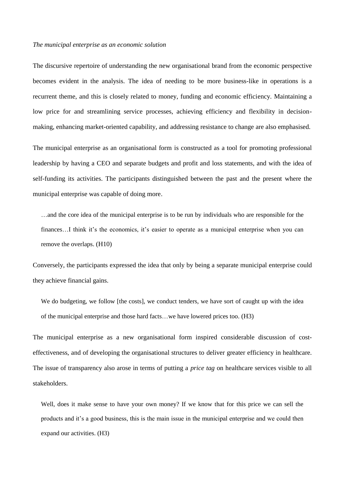#### *The municipal enterprise as an economic solution*

The discursive repertoire of understanding the new organisational brand from the economic perspective becomes evident in the analysis. The idea of needing to be more business-like in operations is a recurrent theme, and this is closely related to money, funding and economic efficiency. Maintaining a low price for and streamlining service processes, achieving efficiency and flexibility in decisionmaking, enhancing market-oriented capability, and addressing resistance to change are also emphasised.

The municipal enterprise as an organisational form is constructed as a tool for promoting professional leadership by having a CEO and separate budgets and profit and loss statements, and with the idea of self-funding its activities. The participants distinguished between the past and the present where the municipal enterprise was capable of doing more.

...and the core idea of the municipal enterprise is to be run by individuals who are responsible for the finances...I think it's the economics, it's easier to operate as a municipal enterprise when you can remove the overlaps. (H10)

Conversely, the participants expressed the idea that only by being a separate municipal enterprise could they achieve financial gains.

We do budgeting, we follow [the costs], we conduct tenders, we have sort of caught up with the idea of the municipal enterprise and those hard facts…we have lowered prices too. (H3)

The municipal enterprise as a new organisational form inspired considerable discussion of costeffectiveness, and of developing the organisational structures to deliver greater efficiency in healthcare. The issue of transparency also arose in terms of putting a *price tag* on healthcare services visible to all stakeholders.

Well, does it make sense to have your own money? If we know that for this price we can sell the products and it's a good business, this is the main issue in the municipal enterprise and we could then expand our activities. (H3)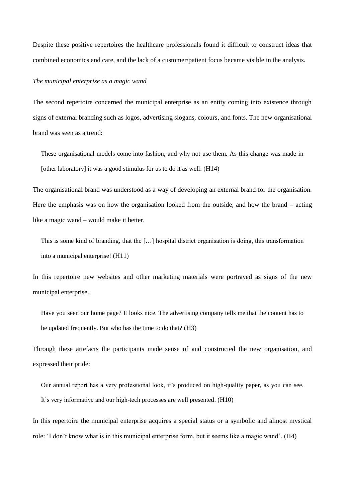Despite these positive repertoires the healthcare professionals found it difficult to construct ideas that combined economics and care, and the lack of a customer/patient focus became visible in the analysis.

## *The municipal enterprise as a magic wand*

The second repertoire concerned the municipal enterprise as an entity coming into existence through signs of external branding such as logos, advertising slogans, colours, and fonts. The new organisational brand was seen as a trend:

These organisational models come into fashion, and why not use them. As this change was made in [other laboratory] it was a good stimulus for us to do it as well. (H14)

The organisational brand was understood as a way of developing an external brand for the organisation. Here the emphasis was on how the organisation looked from the outside, and how the brand – acting like a magic wand – would make it better.

This is some kind of branding, that the […] hospital district organisation is doing, this transformation into a municipal enterprise! (H11)

In this repertoire new websites and other marketing materials were portrayed as signs of the new municipal enterprise.

Have you seen our home page? It looks nice. The advertising company tells me that the content has to be updated frequently. But who has the time to do that? (H3)

Through these artefacts the participants made sense of and constructed the new organisation, and expressed their pride:

Our annual report has a very professional look, it's produced on high-quality paper, as you can see. It's very informative and our high-tech processes are well presented. (H10)

In this repertoire the municipal enterprise acquires a special status or a symbolic and almost mystical role: 'I don't know what is in this municipal enterprise form, but it seems like a magic wand'*.* (H4)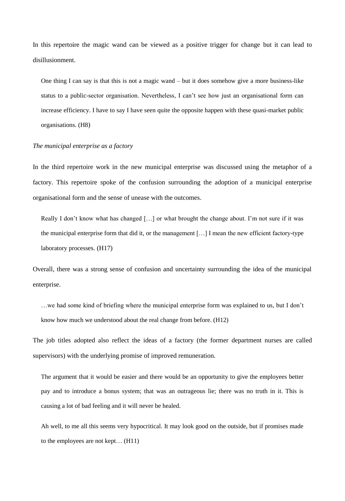In this repertoire the magic wand can be viewed as a positive trigger for change but it can lead to disillusionment.

One thing I can say is that this is not a magic wand – but it does somehow give a more business-like status to a public-sector organisation. Nevertheless, I can't see how just an organisational form can increase efficiency. I have to say I have seen quite the opposite happen with these quasi-market public organisations. (H8)

#### *The municipal enterprise as a factory*

In the third repertoire work in the new municipal enterprise was discussed using the metaphor of a factory. This repertoire spoke of the confusion surrounding the adoption of a municipal enterprise organisational form and the sense of unease with the outcomes.

Really I don't know what has changed [...] or what brought the change about. I'm not sure if it was the municipal enterprise form that did it, or the management […] I mean the new efficient factory-type laboratory processes. (H17)

Overall, there was a strong sense of confusion and uncertainty surrounding the idea of the municipal enterprise.

…we had some kind of briefing where the municipal enterprise form was explained to us, but I don't know how much we understood about the real change from before. (H12)

The job titles adopted also reflect the ideas of a factory (the former department nurses are called supervisors) with the underlying promise of improved remuneration.

The argument that it would be easier and there would be an opportunity to give the employees better pay and to introduce a bonus system; that was an outrageous lie; there was no truth in it. This is causing a lot of bad feeling and it will never be healed.

Ah well, to me all this seems very hypocritical. It may look good on the outside, but if promises made to the employees are not kept… (H11)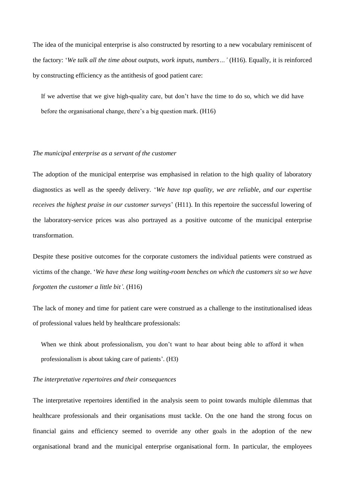The idea of the municipal enterprise is also constructed by resorting to a new vocabulary reminiscent of the factory: '*We talk all the time about outputs, work inputs, numbers…'* (H16). Equally, it is reinforced by constructing efficiency as the antithesis of good patient care:

If we advertise that we give high-quality care, but don't have the time to do so, which we did have before the organisational change, there's a big question mark. (H16)

## *The municipal enterprise as a servant of the customer*

The adoption of the municipal enterprise was emphasised in relation to the high quality of laboratory diagnostics as well as the speedy delivery. '*We have top quality, we are reliable, and our expertise receives the highest praise in our customer surveys*' (H11). In this repertoire the successful lowering of the laboratory-service prices was also portrayed as a positive outcome of the municipal enterprise transformation.

Despite these positive outcomes for the corporate customers the individual patients were construed as victims of the change. '*We have these long waiting-room benches on which the customers sit so we have forgotten the customer a little bit'.* (H16)

The lack of money and time for patient care were construed as a challenge to the institutionalised ideas of professional values held by healthcare professionals:

When we think about professionalism, you don't want to hear about being able to afford it when professionalism is about taking care of patients'. (H3)

## *The interpretative repertoires and their consequences*

The interpretative repertoires identified in the analysis seem to point towards multiple dilemmas that healthcare professionals and their organisations must tackle. On the one hand the strong focus on financial gains and efficiency seemed to override any other goals in the adoption of the new organisational brand and the municipal enterprise organisational form. In particular, the employees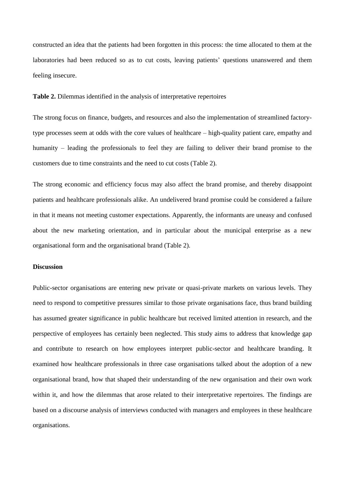constructed an idea that the patients had been forgotten in this process: the time allocated to them at the laboratories had been reduced so as to cut costs, leaving patients' questions unanswered and them feeling insecure.

**Table 2.** Dilemmas identified in the analysis of interpretative repertoires

The strong focus on finance, budgets, and resources and also the implementation of streamlined factorytype processes seem at odds with the core values of healthcare – high-quality patient care, empathy and humanity – leading the professionals to feel they are failing to deliver their brand promise to the customers due to time constraints and the need to cut costs (Table 2).

The strong economic and efficiency focus may also affect the brand promise, and thereby disappoint patients and healthcare professionals alike. An undelivered brand promise could be considered a failure in that it means not meeting customer expectations. Apparently, the informants are uneasy and confused about the new marketing orientation, and in particular about the municipal enterprise as a new organisational form and the organisational brand (Table 2).

## **Discussion**

Public-sector organisations are entering new private or quasi-private markets on various levels. They need to respond to competitive pressures similar to those private organisations face, thus brand building has assumed greater significance in public healthcare but received limited attention in research, and the perspective of employees has certainly been neglected. This study aims to address that knowledge gap and contribute to research on how employees interpret public-sector and healthcare branding. It examined how healthcare professionals in three case organisations talked about the adoption of a new organisational brand, how that shaped their understanding of the new organisation and their own work within it, and how the dilemmas that arose related to their interpretative repertoires. The findings are based on a discourse analysis of interviews conducted with managers and employees in these healthcare organisations.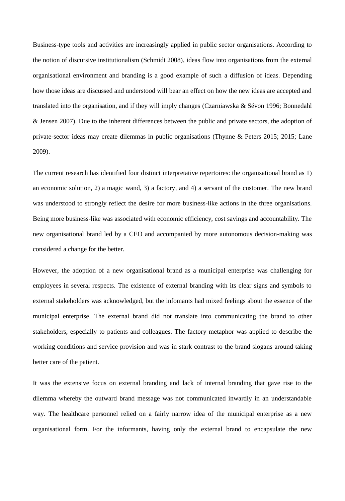Business-type tools and activities are increasingly applied in public sector organisations. According to the notion of discursive institutionalism (Schmidt 2008), ideas flow into organisations from the external organisational environment and branding is a good example of such a diffusion of ideas. Depending how those ideas are discussed and understood will bear an effect on how the new ideas are accepted and translated into the organisation, and if they will imply changes (Czarniawska & Sévon 1996; Bonnedahl & Jensen 2007). Due to the inherent differences between the public and private sectors, the adoption of private-sector ideas may create dilemmas in public organisations (Thynne & Peters 2015; 2015; Lane 2009).

The current research has identified four distinct interpretative repertoires: the organisational brand as 1) an economic solution, 2) a magic wand, 3) a factory, and 4) a servant of the customer. The new brand was understood to strongly reflect the desire for more business-like actions in the three organisations. Being more business-like was associated with economic efficiency, cost savings and accountability. The new organisational brand led by a CEO and accompanied by more autonomous decision-making was considered a change for the better.

However, the adoption of a new organisational brand as a municipal enterprise was challenging for employees in several respects. The existence of external branding with its clear signs and symbols to external stakeholders was acknowledged, but the infomants had mixed feelings about the essence of the municipal enterprise. The external brand did not translate into communicating the brand to other stakeholders, especially to patients and colleagues. The factory metaphor was applied to describe the working conditions and service provision and was in stark contrast to the brand slogans around taking better care of the patient.

It was the extensive focus on external branding and lack of internal branding that gave rise to the dilemma whereby the outward brand message was not communicated inwardly in an understandable way. The healthcare personnel relied on a fairly narrow idea of the municipal enterprise as a new organisational form. For the informants, having only the external brand to encapsulate the new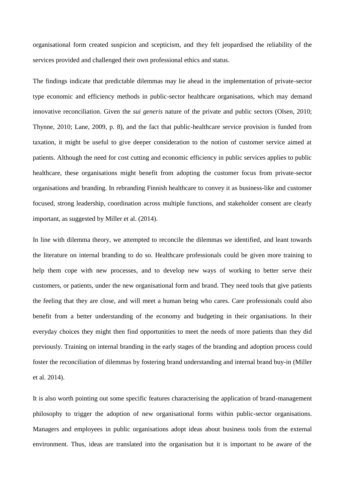organisational form created suspicion and scepticism, and they felt jeopardised the reliability of the services provided and challenged their own professional ethics and status.

The findings indicate that predictable dilemmas may lie ahead in the implementation of private-sector type economic and efficiency methods in public-sector healthcare organisations, which may demand innovative reconciliation. Given the *sui generis* nature of the private and public sectors (Olsen, 2010; Thynne, 2010; Lane, 2009, p. 8), and the fact that public-healthcare service provision is funded from taxation, it might be useful to give deeper consideration to the notion of customer service aimed at patients. Although the need for cost cutting and economic efficiency in public services applies to public healthcare, these organisations might benefit from adopting the customer focus from private-sector organisations and branding. In rebranding Finnish healthcare to convey it as business-like and customer focused, strong leadership, coordination across multiple functions, and stakeholder consent are clearly important, as suggested by Miller et al. (2014).

In line with dilemma theory, we attempted to reconcile the dilemmas we identified, and leant towards the literature on internal branding to do so. Healthcare professionals could be given more training to help them cope with new processes, and to develop new ways of working to better serve their customers, or patients, under the new organisational form and brand. They need tools that give patients the feeling that they are close, and will meet a human being who cares. Care professionals could also benefit from a better understanding of the economy and budgeting in their organisations. In their everyday choices they might then find opportunities to meet the needs of more patients than they did previously. Training on internal branding in the early stages of the branding and adoption process could foster the reconciliation of dilemmas by fostering brand understanding and internal brand buy-in (Miller et al. 2014).

It is also worth pointing out some specific features characterising the application of brand-management philosophy to trigger the adoption of new organisational forms within public-sector organisations. Managers and employees in public organisations adopt ideas about business tools from the external environment. Thus, ideas are translated into the organisation but it is important to be aware of the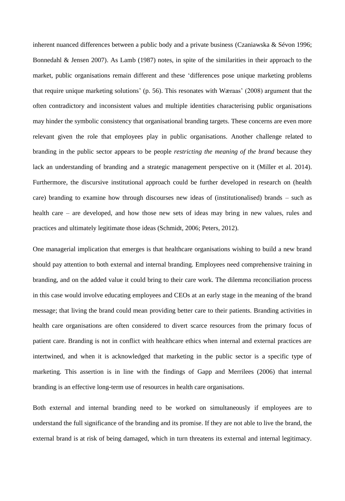inherent nuanced differences between a public body and a private business (Czaniawska & Sévon 1996; Bonnedahl & Jensen 2007). As Lamb (1987) notes, in spite of the similarities in their approach to the market, public organisations remain different and these 'differences pose unique marketing problems that require unique marketing solutions' (p. 56). This resonates with Wæraas' (2008) argument that the often contradictory and inconsistent values and multiple identities characterising public organisations may hinder the symbolic consistency that organisational branding targets. These concerns are even more relevant given the role that employees play in public organisations. Another challenge related to branding in the public sector appears to be people *restricting the meaning of the brand* because they lack an understanding of branding and a strategic management perspective on it (Miller et al. 2014). Furthermore, the discursive institutional approach could be further developed in research on (health care) branding to examine how through discourses new ideas of (institutionalised) brands – such as health care – are developed, and how those new sets of ideas may bring in new values, rules and practices and ultimately legitimate those ideas (Schmidt, 2006; Peters, 2012).

One managerial implication that emerges is that healthcare organisations wishing to build a new brand should pay attention to both external and internal branding. Employees need comprehensive training in branding, and on the added value it could bring to their care work. The dilemma reconciliation process in this case would involve educating employees and CEOs at an early stage in the meaning of the brand message; that living the brand could mean providing better care to their patients. Branding activities in health care organisations are often considered to divert scarce resources from the primary focus of patient care. Branding is not in conflict with healthcare ethics when internal and external practices are intertwined, and when it is acknowledged that marketing in the public sector is a specific type of marketing. This assertion is in line with the findings of Gapp and Merrilees (2006) that internal branding is an effective long-term use of resources in health care organisations.

Both external and internal branding need to be worked on simultaneously if employees are to understand the full significance of the branding and its promise. If they are not able to live the brand, the external brand is at risk of being damaged, which in turn threatens its external and internal legitimacy.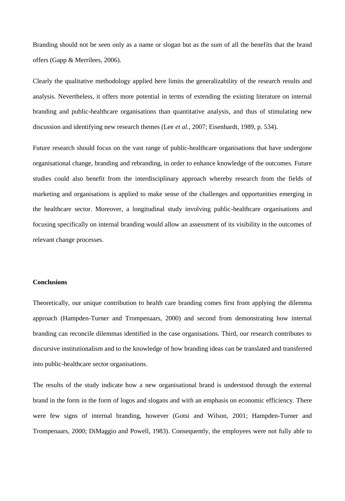Branding should not be seen only as a name or slogan but as the sum of all the benefits that the brand offers (Gapp & Merrilees, 2006).

Clearly the qualitative methodology applied here limits the generalizability of the research results and analysis. Nevertheless, it offers more potential in terms of extending the existing literature on internal branding and public-healthcare organisations than quantitative analysis, and thus of stimulating new discussion and identifying new research themes (Lee *et al.*, 2007; Eisenhardt, 1989, p. 534).

Future research should focus on the vast range of public-healthcare organisations that have undergone organisational change, branding and rebranding, in order to enhance knowledge of the outcomes. Future studies could also benefit from the interdisciplinary approach whereby research from the fields of marketing and organisations is applied to make sense of the challenges and opportunities emerging in the healthcare sector. Moreover, a longitudinal study involving public-healthcare organisations and focusing specifically on internal branding would allow an assessment of its visibility in the outcomes of relevant change processes.

## **Conclusions**

Theoretically, our unique contribution to health care branding comes first from applying the dilemma approach (Hampden-Turner and Trompenaars, 2000) and second from demonstrating how internal branding can reconcile dilemmas identified in the case organisations. Third, our research contributes to discursive institutionalism and to the knowledge of how branding ideas can be translated and transferred into public-healthcare sector organisations.

The results of the study indicate how a new organisational brand is understood through the external brand in the form in the form of logos and slogans and with an emphasis on economic efficiency. There were few signs of internal branding, however (Gotsi and Wilson, 2001; Hampden-Turner and Trompenaars, 2000; DiMaggio and Powell, 1983). Consequently, the employees were not fully able to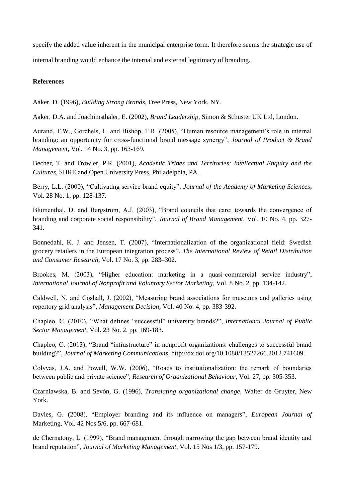specify the added value inherent in the municipal enterprise form. It therefore seems the strategic use of internal branding would enhance the internal and external legitimacy of branding.

# **References**

Aaker, D. (1996), *Building Strong Brands*, Free Press, New York, NY.

Aaker, D.A. and Joachimsthaler, E. (2002), *Brand Leadership*, Simon & Schuster UK Ltd, London.

Aurand, T.W., Gorchels, L. and Bishop, T.R. (2005), "Human resource management's role in internal branding: an opportunity for cross-functional brand message synergy", *Journal of Product & Brand Management*, Vol. 14 No. 3, pp. 163-169.

Becher, T. and Trowler, P.R. (2001), *Academic Tribes and Territories: Intellectual Enquiry and the Cultures*, SHRE and Open University Press, Philadelphia, PA.

Berry, L.L. (2000), "Cultivating service brand equity", *Journal of the Academy of Marketing Sciences*, Vol. 28 No. 1, pp. 128-137.

Blumenthal, D. and Bergstrom, A.J. (2003), "Brand councils that care: towards the convergence of branding and corporate social responsibility", *Journal of Brand Management*, Vol. 10 No. 4, pp. 327- 341.

Bonnedahl, K. J. and Jensen, T. (2007), "Internationalization of the organizational field: Swedish grocery retailers in the European integration process". *The International Review of Retail Distribution and Consumer Research,* Vol. 17 No. 3, pp. 283–302.

Brookes, M. (2003), "Higher education: marketing in a quasi-commercial service industry", *International Journal of Nonprofit and Voluntary Sector Marketing*, Vol. 8 No. 2, pp. 134-142.

Caldwell, N. and Coshall, J. (2002), "Measuring brand associations for museums and galleries using repertory grid analysis", *Management Decision*, Vol. 40 No. 4, pp. 383-392.

Chapleo, C. (2010), "What defines "successful" university brands?", *International Journal of Public Sector Management*, Vol. 23 No. 2, pp. 169-183.

Chapleo, C. (2013), "Brand "infrastructure" in nonprofit organizations: challenges to successful brand building?", *Journal of Marketing Communications*, [http://dx.doi.org/10.1080/13527266.2012.741609.](http://dx.doi.org/10.1080/13527266.2012.741609)

Colyvas, J.A. and Powell, W.W. (2006), "Roads to institutionalization: the remark of boundaries between public and private science", *Research of Organizational Behaviour*, Vol. 27, pp. 305-353.

Czarniawska, B. and Sevón, G. (1996), *Translating organizational change*, Walter de Gruyter, New York.

Davies, G. (2008), "Employer branding and its influence on managers", *European Journal of*  Marketing, Vol. 42 Nos 5/6, pp. 667-681.

de Chernatony, L. (1999), "Brand management through narrowing the gap between brand identity and brand reputation", *Journal of Marketing Management*, Vol. 15 Nos 1/3, pp. 157-179.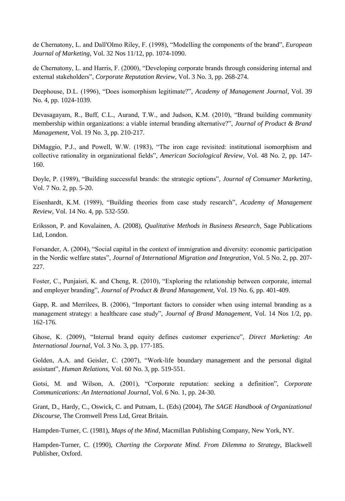de Chernatony, L. and Dall'Olmo Riley, F. (1998), "Modelling the components of the brand", *European Journal of Marketing*, Vol. 32 Nos 11/12, pp. 1074-1090.

de Chernatony, L. and Harris, F. (2000), "Developing corporate brands through considering internal and external stakeholders", *Corporate Reputation Review*, Vol. 3 No. 3, pp. 268-274.

Deephouse, D.L. (1996), "Does isomorphism legitimate?", *Academy of Management Journal*, Vol. 39 No. 4, pp. 1024-1039.

Devasagayam, R., Buff, C.L., Aurand, T.W., and Judson, K.M. (2010), "Brand building community membership within organizations: a viable internal branding alternative?", *Journal of Product & Brand Management*, Vol. 19 No. 3, pp. 210-217.

DiMaggio, P.J., and Powell, W.W. (1983), "The iron cage revisited: institutional isomorphism and collective rationality in organizational fields", *American Sociological Review*, Vol. 48 No. 2, pp. 147- 160.

Doyle, P. (1989), "Building successful brands: the strategic options", *Journal of Consumer Marketing*, Vol. 7 No. 2, pp. 5-20.

Eisenhardt, K.M. (1989), "Building theories from case study research", *Academy of Management Review*, Vol. 14 No. 4, pp. 532-550.

Eriksson, P. and Kovalainen, A. (2008), *Qualitative Methods in Business Research*, Sage Publications Ltd, London.

Forsander, A. (2004), "Social capital in the context of immigration and diversity: economic participation in the Nordic welfare states", *Journal of International Migration and Integration*, Vol. 5 No. 2, pp. 207- 227.

Foster, C., Punjaisri, K. and Cheng, R. (2010), "Exploring the relationship between corporate, internal and employer branding", *Journal of Product & Brand Management*, Vol. 19 No. 6, pp. 401-409.

Gapp, R. and Merrilees, B. (2006), "Important factors to consider when using internal branding as a management strategy: a healthcare case study", *Journal of Brand Management*, Vol. 14 Nos 1/2, pp. 162-176.

Ghose, K. (2009), "Internal brand equity defines customer experience", *Direct Marketing: An International Journal*, Vol. 3 No. 3, pp. 177-185.

Golden, A.A. and Geisler, C. (2007), "Work-life boundary management and the personal digital assistant", *Human Relations*, Vol. 60 No. 3, pp. 519-551.

Gotsi, M. and Wilson, A. (2001), "Corporate reputation: seeking a definition", *Corporate Communications: An International Journal*, Vol. 6 No. 1, pp. 24-30.

Grant, D., Hardy, C., Oswick, C. and Putnam, L. (Eds) (2004), *The SAGE Handbook of Organizational Discourse*, The Cromwell Press Ltd, Great Britain.

Hampden-Turner, C. (1981), *Maps of the Mind*, Macmillan Publishing Company, New York, NY.

Hampden-Turner, C. (1990), *Charting the Corporate Mind. From Dilemma to Strategy*, Blackwell Publisher, Oxford.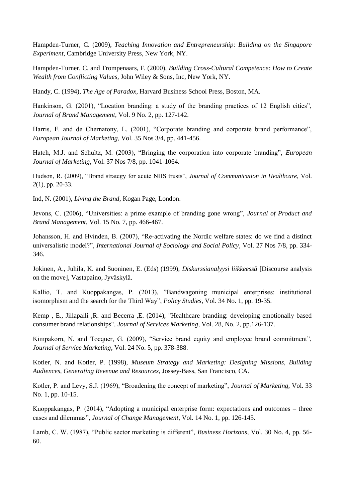Hampden-Turner, C. (2009), *Teaching Innovation and Entrepreneurship: Building on the Singapore Experiment*, Cambridge University Press, New York, NY.

Hampden-Turner, C. and Trompenaars, F. (2000), *Building Cross-Cultural Competence: How to Create Wealth from Conflicting Values*, John Wiley & Sons, Inc, New York, NY.

Handy, C. (1994), *The Age of Paradox*, Harvard Business School Press, Boston, MA.

Hankinson, G. (2001), "Location branding: a study of the branding practices of 12 English cities", *Journal of Brand Management,* Vol. 9 No. 2, pp. 127-142.

Harris, F. and de Chernatony, L. (2001), "Corporate branding and corporate brand performance", *European Journal of Marketing*, Vol. 35 Nos 3/4, pp. 441-456.

Hatch, M.J. and Schultz, M. (2003), "Bringing the corporation into corporate branding", *European Journal of Marketing*, Vol. 37 Nos 7/8, pp. 1041-1064.

Hudson, R. (2009), "Brand strategy for acute NHS trusts", *Journal of Communication in Healthcare*, Vol. *2*(1), pp. 20-33.

Ind, N. (2001), *Living the Brand*, Kogan Page, London.

Jevons, C. (2006), "Universities: a prime example of branding gone wrong", *Journal of Product and Brand Management*, Vol. 15 No. 7, pp. 466-467.

Johansson, H. and Hvinden, B. (2007), "Re-activating the Nordic welfare states: do we find a distinct universalistic model?", *International Journal of Sociology and Social Policy*, Vol. 27 Nos 7/8, pp. 334- 346.

Jokinen, A., Juhila, K. and Suoninen, E. (Eds) (1999), *Diskurssianalyysi liikkeessä* [Discourse analysis on the move], Vastapaino, Jyväskylä.

Kallio, T. and Kuoppakangas, P. (2013), "Bandwagoning municipal enterprises: institutional isomorphism and the search for the Third Way", *Policy Studies*, Vol. 34 No. 1, pp. 19-35.

[Kemp ,](http://www.emeraldinsight.com/action/doSearch?ContribStored=Kemp%2C+E) E., [Jillapalli ,](http://www.emeraldinsight.com/action/doSearch?ContribStored=Jillapalli%2C+R)R. [and Becerra ,](http://www.emeraldinsight.com/action/doSearch?ContribStored=Becerra%2C+E)E. (2014), "Healthcare branding: developing emotionally based consumer brand relationships", *Journal of Services Marketing*, Vol. 28, No. 2, pp.126-137.

Kimpakorn, N. and Tocquer, G. (2009), "Service brand equity and employee brand commitment", *Journal of Service Marketing*, Vol. 24 No. 5, pp. 378-388.

Kotler, N. and Kotler, P. (1998), *Museum Strategy and Marketing: Designing Missions, Building Audiences, Generating Revenue and Resources*, Jossey-Bass, San Francisco, CA.

Kotler, P. and Levy, S.J. (1969), "Broadening the concept of marketing", *Journal of Marketing*, Vol. 33 No. 1, pp. 10-15.

Kuoppakangas, P. (2014), "Adopting a municipal enterprise form: expectations and outcomes – three cases and dilemmas", *Journal of Change Management*, Vol. 14 No. 1, pp. 126-145.

Lamb, C. W. (1987), "Public sector marketing is different", *Business Horizons*, Vol. 30 No. 4, pp. 56- 60.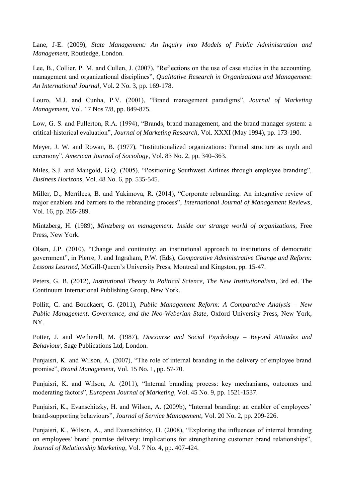Lane, J-E. (2009), *State Management: An Inquiry into Models of Public Administration and Management*, Routledge, London.

Lee, B., Collier, P. M. and Cullen, J. (2007), "Reflections on the use of case studies in the accounting, management and organizational disciplines", *Qualitative Research in Organizations and Management*: *An International Journal*, Vol. 2 No. 3, pp. 169-178.

Louro, M.J. and Cunha, P.V. (2001), "Brand management paradigms", *Journal of Marketing Management,* Vol. 17 Nos 7/8, pp. 849-875.

Low, G. S. and Fullerton, R.A. (1994), "Brands, brand management, and the brand manager system: a critical-historical evaluation", *Journal of Marketing Research*, Vol. XXXI (May 1994), pp. 173-190.

Meyer, J. W. and Rowan, B. (1977), "Institutionalized organizations: Formal structure as myth and ceremony", *American Journal of Sociology*, Vol. 83 No. 2, pp. 340–363.

Miles, S.J. and Mangold, G.Q. (2005), "Positioning Southwest Airlines through employee branding", *Business Horizons*, Vol. 48 No. 6, pp. 535-545.

Miller, D., Merrilees, B. and Yakimova, R. (2014), "Corporate rebranding: An integrative review of major enablers and barriers to the rebranding process", *International Journal of Management Reviews*, Vol. 16, pp. 265-289.

Mintzberg, H. (1989), *Mintzberg on management: Inside our strange world of organizations*, Free Press, New York.

Olsen, J.P. (2010), "Change and continuity: an institutional approach to institutions of democratic government", in Pierre, J. and Ingraham, P.W. (Eds), *Comparative Administrative Change and Reform: Lessons Learned*, McGill-Queen's University Press, Montreal and Kingston, pp. 15-47.

Peters, G. B. (2012), *Institutional Theory in Political Science, The New Institutionalism*, 3rd ed. The Continuum International Publishing Group, New York.

Pollitt, C. and Bouckaert, G. (2011), *Public Management Reform: A Comparative Analysis – New Public Management, Governance, and the Neo-Weberian State*, Oxford University Press, New York, NY.

Potter, J. and Wetherell, M. (1987), *Discourse and Social Psychology – Beyond Attitudes and Behaviour*, Sage Publications Ltd, London.

Punjaisri, K. and Wilson, A. (2007), "The role of internal branding in the delivery of employee brand promise", *Brand Management*, Vol. 15 No. 1, pp. 57-70.

Punjaisri, K. and Wilson, A. (2011), "Internal branding process: key mechanisms, outcomes and moderating factors", *European Journal of Marketing*, Vol. 45 No. 9, pp. 1521-1537.

Punjaisri, K., Evanschitzky, H. and Wilson, A. (2009b), "Internal branding: an enabler of employees' brand-supporting behaviours", *Journal of Service Management*, Vol. 20 No. 2, pp. 209-226.

Punjaisri, K., Wilson, A., and Evanschitzky, H. (2008), "Exploring the influences of internal branding on employees' brand promise delivery: implications for strengthening customer brand relationships", *Journal of Relationship Marketing*, Vol. 7 No. 4, pp. 407-424.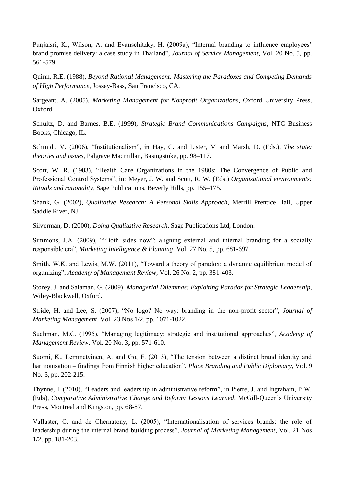Punjaisri, K., Wilson, A. and Evanschitzky, H. (2009a), "Internal branding to influence employees' brand promise delivery: a case study in Thailand", *Journal of Service Management*, Vol. 20 No. 5, pp. 561-579.

Quinn, R.E. (1988), *Beyond Rational Management: Mastering the Paradoxes and Competing Demands of High Performance*, Jossey-Bass, San Francisco, CA.

Sargeant, A. (2005), *Marketing Management for Nonprofit Organizations*, Oxford University Press, Oxford.

Schultz, D. and Barnes, B.E. (1999), *Strategic Brand Communications Campaigns*, NTC Business Books, Chicago, IL.

Schmidt, V. (2006), "Institutionalism", in Hay, C. and Lister, M and Marsh, D. (Eds.), *The state: theories and issues,* Palgrave Macmillan, Basingstoke, pp. 98–117.

Scott, W. R. (1983), "Health Care Organizations in the 1980s: The Convergence of Public and Professional Control Systems", in: Meyer, J. W. and Scott, R. W. (Eds.) *Organizational environments: Rituals and rationality,* Sage Publications, Beverly Hills, pp. 155–175.

Shank, G. (2002), *Qualitative Research: A Personal Skills Approach*, Merrill Prentice Hall, Upper Saddle River, NJ.

Silverman, D. (2000), *Doing Qualitative Research*, Sage Publications Ltd, London.

Simmons, J.A. (2009), ""Both sides now": aligning external and internal branding for a socially responsible era", *Marketing Intelligence & Planning*, Vol. 27 No. 5, pp. 681-697.

Smith, W.K. and Lewis, M.W. (2011), "Toward a theory of paradox: a dynamic equilibrium model of organizing", *Academy of Management Review*, Vol. 26 No. 2, pp. 381-403.

Storey, J. and Salaman, G. (2009), *Managerial Dilemmas: Exploiting Paradox for Strategic Leadership*, Wiley-Blackwell, Oxford.

Stride, H. and Lee, S. (2007), "No logo? No way: branding in the non-profit sector", *Journal of Marketing Management*, Vol. 23 Nos 1/2, pp. 1071-1022.

Suchman, M.C. (1995), "Managing legitimacy: strategic and institutional approaches", *Academy of Management Review*, Vol. 20 No. 3, pp. 571-610.

Suomi, K., Lemmetyinen, A. and Go, F. (2013), "The tension between a distinct brand identity and harmonisation – findings from Finnish higher education", *Place Branding and Public Diplomacy*, Vol. 9 No. 3, pp. 202-215.

Thynne, I. (2010), "Leaders and leadership in administrative reform", in Pierre, J. and Ingraham, P.W. (Eds), *Comparative Administrative Change and Reform: Lessons Learned*, McGill-Queen's University Press, Montreal and Kingston, pp. 68-87.

Vallaster, C. and de Chernatony, L. (2005), "Internationalisation of services brands: the role of leadership during the internal brand building process", *Journal of Marketing Management*, Vol. 21 Nos 1/2, pp. 181-203.